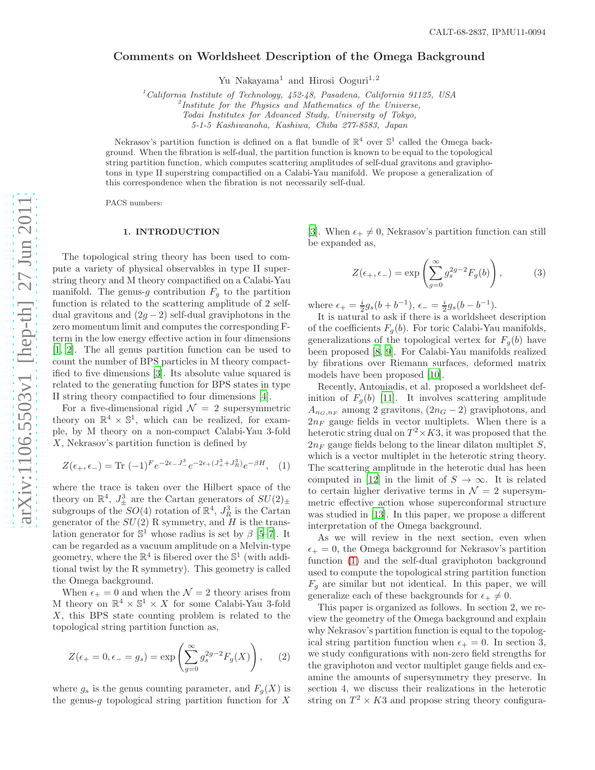# Comments on Worldsheet Description of the Omega Background

Yu Nakayama<sup>1</sup> and Hirosi Ooguri<sup>1,2</sup>

 $1$ California Institute of Technology, 452-48, Pasadena, California 91125, USA

 $\mu^2$ Institute for the Physics and Mathematics of the Universe,

Todai Institutes for Advanced Study, University of Tokyo,

5-1-5 Kashiwanoha, Kashiwa, Chiba 277-8583, Japan

Nekrasov's partition function is defined on a flat bundle of  $\mathbb{R}^4$  over  $\mathbb{S}^1$  called the Omega background. When the fibration is self-dual, the partition function is known to be equal to the topological string partition function, which computes scattering amplitudes of self-dual gravitons and graviphotons in type II superstring compactified on a Calabi-Yau manifold. We propose a generalization of this correspondence when the fibration is not necessarily self-dual.

PACS numbers:

# 1. INTRODUCTION

The topological string theory has been used to compute a variety of physical observables in type II superstring theory and M theory compactified on a Calabi-Yau manifold. The genus-g contribution  $F_g$  to the partition function is related to the scattering amplitude of 2 selfdual gravitons and  $(2g-2)$  self-dual graviphotons in the zero momentum limit and computes the corresponding Fterm in the low energy effective action in four dimensions [\[1,](#page-9-0) [2\]](#page-9-1). The all genus partition function can be used to count the number of BPS particles in M theory compactified to five dimensions [\[3](#page-9-2)]. Its absolute value squared is related to the generating function for BPS states in type II string theory compactified to four dimensions [\[4](#page-9-3)].

For a five-dimensional rigid  $\mathcal{N} = 2$  supersymmetric theory on  $\mathbb{R}^4 \times \mathbb{S}^1$ , which can be realized, for example, by M theory on a non-compact Calabi-Yau 3-fold X, Nekrasov's partition function is defined by

<span id="page-0-0"></span>
$$
Z(\epsilon_+,\epsilon_-) = \text{Tr}(-1)^F e^{-2\epsilon_- J_-^3} e^{-2\epsilon_+ (J_+^3 + J_R^3)} e^{-\beta H}, \quad (1)
$$

where the trace is taken over the Hilbert space of the theory on  $\mathbb{R}^4$ ,  $J_{\pm}^3$  are the Cartan generators of  $SU(2)_{\pm}$ subgroups of the  $SO(4)$  rotation of  $\mathbb{R}^4$ ,  $J_R^3$  is the Cartan generator of the  $SU(2)$  R symmetry, and H is the translation generator for  $\mathbb{S}^1$  whose radius is set by  $\beta$  [\[5](#page-9-4)[–7\]](#page-9-5). It can be regarded as a vacuum amplitude on a Melvin-type geometry, where the  $\mathbb{R}^4$  is fibered over the  $\mathbb{S}^1$  (with additional twist by the R symmetry). This geometry is called the Omega background.

When  $\epsilon_+ = 0$  and when the  $\mathcal{N} = 2$  theory arises from M theory on  $\mathbb{R}^4 \times \mathbb{S}^1 \times X$  for some Calabi-Yau 3-fold X, this BPS state counting problem is related to the topological string partition function as,

$$
Z(\epsilon_+ = 0, \epsilon_- = g_s) = \exp\left(\sum_{g=0}^{\infty} g_s^{2g-2} F_g(X)\right), \quad (2)
$$

where  $g_s$  is the genus counting parameter, and  $F_g(X)$  is the genus- $g$  topological string partition function for  $X$ 

[\[3\]](#page-9-2). When  $\epsilon_+ \neq 0$ , Nekrasov's partition function can still be expanded as,

$$
Z(\epsilon_+, \epsilon_-) = \exp\left(\sum_{g=0}^{\infty} g_s^{2g-2} F_g(b)\right),\tag{3}
$$

where  $\epsilon_+ = \frac{i}{2}g_s(b+b^{-1}), \epsilon_- = \frac{i}{2}g_s(b-b^{-1}).$ 

It is natural to ask if there is a worldsheet description of the coefficients  $F_g(b)$ . For toric Calabi-Yau manifolds, generalizations of the topological vertex for  $F_g(b)$  have been proposed [\[8](#page-9-6), [9](#page-9-7)]. For Calabi-Yau manifolds realized by fibrations over Riemann surfaces, deformed matrix models have been proposed [\[10](#page-9-8)].

Recently, Antoniadis, et al. proposed a worldsheet definition of  $F_q(b)$  [\[11](#page-9-9)]. It involves scattering amplitude  $A_{n_G,n_F}$  among 2 gravitons,  $(2n_G - 2)$  graviphotons, and  $2n_F$  gauge fields in vector multiplets. When there is a heterotic string dual on  $T^2 \times K3$ , it was proposed that the  $2n_F$  gauge fields belong to the linear dilaton multiplet S, which is a vector multiplet in the heterotic string theory. The scattering amplitude in the heterotic dual has been computed in [\[12](#page-9-10)] in the limit of  $S \to \infty$ . It is related to certain higher derivative terms in  $\mathcal{N}=2$  supersymmetric effective action whose superconformal structure was studied in [\[13\]](#page-9-11). In this paper, we propose a different interpretation of the Omega background.

As we will review in the next section, even when  $\epsilon_+ = 0$ , the Omega background for Nekrasov's partition function [\(1\)](#page-0-0) and the self-dual graviphoton background used to compute the topological string partition function  $F_q$  are similar but not identical. In this paper, we will generalize each of these backgrounds for  $\epsilon_+ \neq 0$ .

This paper is organized as follows. In section 2, we review the geometry of the Omega background and explain why Nekrasov's partition function is equal to the topological string partition function when  $\epsilon_+ = 0$ . In section 3, we study configurations with non-zero field strengths for the graviphoton and vector multiplet gauge fields and examine the amounts of supersymmetry they preserve. In section 4, we discuss their realizations in the heterotic string on  $T^2 \times K3$  and propose string theory configura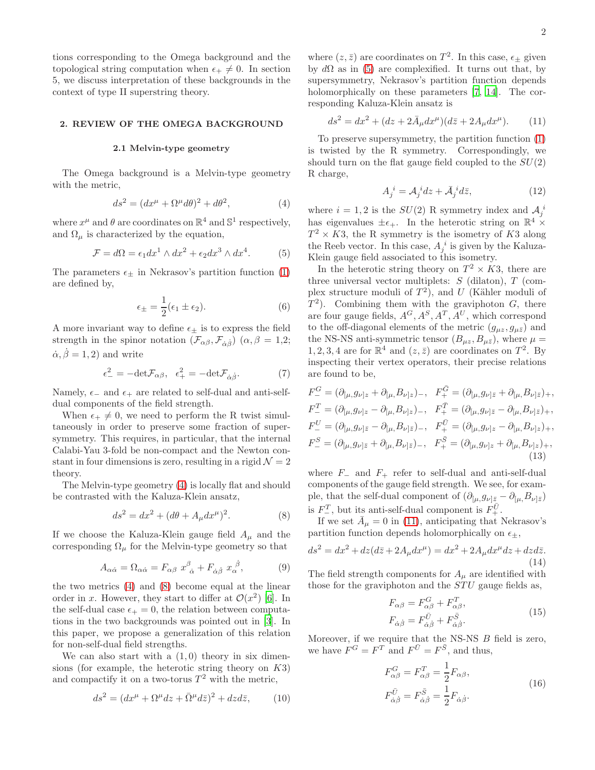tions corresponding to the Omega background and the topological string computation when  $\epsilon_+ \neq 0$ . In section 5, we discuss interpretation of these backgrounds in the context of type II superstring theory.

# 2. REVIEW OF THE OMEGA BACKGROUND

#### 2.1 Melvin-type geometry

The Omega background is a Melvin-type geometry with the metric,

<span id="page-1-0"></span>
$$
ds^2 = (dx^{\mu} + \Omega^{\mu} d\theta)^2 + d\theta^2,
$$
\n(4)

where  $x^{\mu}$  and  $\theta$  are coordinates on  $\mathbb{R}^{4}$  and  $\mathbb{S}^{1}$  respectively, and  $\Omega_{\mu}$  is characterized by the equation,

<span id="page-1-2"></span>
$$
\mathcal{F} = d\Omega = \epsilon_1 dx^1 \wedge dx^2 + \epsilon_2 dx^3 \wedge dx^4. \tag{5}
$$

The parameters  $\epsilon_{\pm}$  in Nekrasov's partition function [\(1\)](#page-0-0) are defined by,

$$
\epsilon_{\pm} = \frac{1}{2} (\epsilon_1 \pm \epsilon_2). \tag{6}
$$

A more invariant way to define  $\epsilon_{\pm}$  is to express the field strength in the spinor notation  $(\mathcal{F}_{\alpha\beta}, \mathcal{F}_{\dot{\alpha}\dot{\beta}})$   $(\alpha, \beta = 1,2;$  $\dot{\alpha}, \dot{\beta} = 1, 2$  and write

$$
\epsilon_{-}^{2} = -\text{det}\mathcal{F}_{\alpha\beta}, \ \ \epsilon_{+}^{2} = -\text{det}\mathcal{F}_{\dot{\alpha}\dot{\beta}}.\tag{7}
$$

Namely,  $\epsilon_-\$  and  $\epsilon_+$  are related to self-dual and anti-selfdual components of the field strength.

When  $\epsilon_+ \neq 0$ , we need to perform the R twist simultaneously in order to preserve some fraction of supersymmetry. This requires, in particular, that the internal Calabi-Yau 3-fold be non-compact and the Newton constant in four dimensions is zero, resulting in a rigid  $\mathcal{N} = 2$ theory.

The Melvin-type geometry [\(4\)](#page-1-0) is locally flat and should be contrasted with the Kaluza-Klein ansatz,

<span id="page-1-1"></span>
$$
ds^{2} = dx^{2} + (d\theta + A_{\mu}dx^{\mu})^{2}.
$$
 (8)

If we choose the Kaluza-Klein gauge field  $A_\mu$  and the corresponding  $\Omega_{\mu}$  for the Melvin-type geometry so that

$$
A_{\alpha\dot{\alpha}} = \Omega_{\alpha\dot{\alpha}} = F_{\alpha\beta} x^{\beta}_{\dot{\alpha}} + F_{\dot{\alpha}\dot{\beta}} x^{\dot{\beta}}_{\alpha}, \qquad (9)
$$

the two metrics [\(4\)](#page-1-0) and [\(8\)](#page-1-1) become equal at the linear order in x. However, they start to differ at  $\mathcal{O}(x^2)$  [\[6](#page-9-12)]. In the self-dual case  $\epsilon_+ = 0$ , the relation between computations in the two backgrounds was pointed out in [\[3\]](#page-9-2). In this paper, we propose a generalization of this relation for non-self-dual field strengths.

We can also start with a  $(1,0)$  theory in six dimensions (for example, the heterotic string theory on  $K3$ ) and compactify it on a two-torus  $T^2$  with the metric,

<span id="page-1-4"></span>
$$
ds^2 = (dx^{\mu} + \Omega^{\mu} dz + \bar{\Omega}^{\mu} d\bar{z})^2 + dz d\bar{z}, \qquad (10)
$$

where  $(z, \bar{z})$  are coordinates on  $T^2$ . In this case,  $\epsilon_{\pm}$  given by  $d\Omega$  as in [\(5\)](#page-1-2) are complexified. It turns out that, by supersymmetry, Nekrasov's partition function depends holomorphically on these parameters [\[7](#page-9-5), [14](#page-9-13)]. The corresponding Kaluza-Klein ansatz is

<span id="page-1-3"></span>
$$
ds^{2} = dx^{2} + (dz + 2\bar{A}_{\mu}dx^{\mu})(d\bar{z} + 2A_{\mu}dx^{\mu}).
$$
 (11)

To preserve supersymmetry, the partition function [\(1\)](#page-0-0) is twisted by the R symmetry. Correspondingly, we should turn on the flat gauge field coupled to the  $SU(2)$ R charge,

<span id="page-1-7"></span>
$$
A_j^i = \mathcal{A}_j^i dz + \bar{\mathcal{A}}_j^i d\bar{z},\tag{12}
$$

where  $i = 1, 2$  is the  $SU(2)$  R symmetry index and  $\mathcal{A}_j^i$ has eigenvalues  $\pm \epsilon_+$ . In the heterotic string on  $\mathbb{R}^4$  ×  $T^2 \times K3$ , the R symmetry is the isometry of K3 along the Reeb vector. In this case,  $A_j^i$  is given by the Kaluza-Klein gauge field associated to this isometry.

In the heterotic string theory on  $T^2 \times K3$ , there are three universal vector multiplets:  $S$  (dilaton),  $T$  (complex structure moduli of  $T^2$ ), and U (Kähler moduli of  $T^2$ ). Combining them with the graviphoton G, there are four gauge fields,  $A^G, A^S, A^T, A^U$ , which correspond to the off-diagonal elements of the metric  $(q_{\mu z}, q_{\mu \bar{z}})$  and the NS-NS anti-symmetric tensor  $(B_{\mu z}, B_{\mu \bar{z}})$ , where  $\mu =$  $1, 2, 3, 4$  are for  $\mathbb{R}^4$  and  $(z, \bar{z})$  are coordinates on  $T^2$ . By inspecting their vertex operators, their precise relations are found to be,

<span id="page-1-6"></span>
$$
F_{-}^{G} = (\partial_{[\mu,} g_{\nu]z} + \partial_{[\mu,} B_{\nu]z})_{-}, \quad F_{+}^{\bar{G}} = (\partial_{[\mu,} g_{\nu]\bar{z}} + \partial_{[\mu,} B_{\nu]\bar{z}})_{+},
$$
  
\n
$$
F_{-}^{T} = (\partial_{[\mu,} g_{\nu]z} - \partial_{[\mu,} B_{\nu]z})_{-}, \quad F_{+}^{\bar{T}} = (\partial_{[\mu,} g_{\nu]\bar{z}} - \partial_{[\mu,} B_{\nu]\bar{z}})_{+},
$$
  
\n
$$
F_{-}^{U} = (\partial_{[\mu,} g_{\nu]\bar{z}} - \partial_{[\mu,} B_{\nu]\bar{z}})_{-}, \quad F_{+}^{\bar{U}} = (\partial_{[\mu,} g_{\nu]z} - \partial_{[\mu,} B_{\nu]z})_{+},
$$
  
\n
$$
F_{-}^{S} = (\partial_{[\mu,} g_{\nu]\bar{z}} + \partial_{[\mu,} B_{\nu]\bar{z}})_{-}, \quad F_{+}^{\bar{S}} = (\partial_{[\mu,} g_{\nu]z} + \partial_{[\mu,} B_{\nu]z})_{+},
$$
  
\n(13)

where  $F_-\$  and  $F_+$  refer to self-dual and anti-self-dual components of the gauge field strength. We see, for example, that the self-dual component of  $(\partial_{\mu}, g_{\nu]\bar{z}} - \partial_{\mu}, B_{\nu|\bar{z}})$ is  $F_{-}^{T}$ , but its anti-self-dual component is  $F_{+}^{\bar{U}}$ .

If we set  $\bar{A}_{\mu} = 0$  in [\(11\)](#page-1-3), anticipating that Nekrasov's partition function depends holomorphically on  $\epsilon_{\pm}$ ,

$$
ds2 = dx2 + dz(d\overline{z} + 2A_{\mu}dx^{\mu}) = dx2 + 2A_{\mu}dx^{\mu}dz + dzd\overline{z}.
$$
\n(14)

The field strength components for  $A_\mu$  are identified with those for the graviphoton and the  $STU$  gauge fields as,

$$
F_{\alpha\beta} = F_{\alpha\beta}^G + F_{\alpha\beta}^T,
$$
  
\n
$$
F_{\dot{\alpha}\dot{\beta}} = F_{\dot{\alpha}\dot{\beta}}^{\bar{U}} + F_{\dot{\alpha}\dot{\beta}}^{\bar{S}}.
$$
\n(15)

<span id="page-1-5"></span>Moreover, if we require that the NS-NS  $B$  field is zero, we have  $F^G = F^T$  and  $F^{\bar{U}} = F^{\bar{S}}$ , and thus,

$$
F_{\alpha\beta}^G = F_{\alpha\beta}^T = \frac{1}{2} F_{\alpha\beta},
$$
  
\n
$$
F_{\dot{\alpha}\dot{\beta}}^{\bar{U}} = F_{\dot{\alpha}\dot{\beta}}^{\bar{S}} = \frac{1}{2} F_{\dot{\alpha}\dot{\beta}}.
$$
\n(16)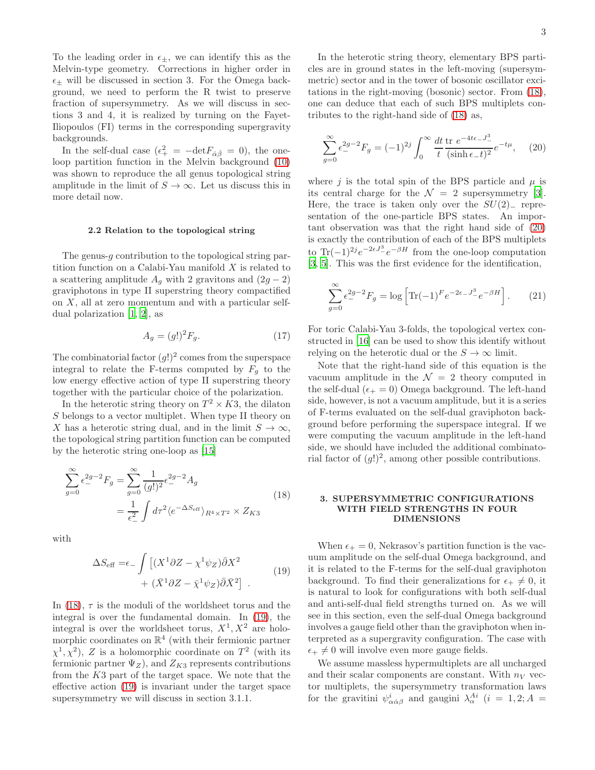To the leading order in  $\epsilon_{\pm}$ , we can identify this as the Melvin-type geometry. Corrections in higher order in  $\epsilon_{\pm}$  will be discussed in section 3. For the Omega background, we need to perform the R twist to preserve fraction of supersymmetry. As we will discuss in sections 3 and 4, it is realized by turning on the Fayet-Iliopoulos (FI) terms in the corresponding supergravity backgrounds.

In the self-dual case  $(\epsilon_+^2 = -\det F_{\dot{\alpha}\dot{\beta}} = 0)$ , the oneloop partition function in the Melvin background [\(10\)](#page-1-4) was shown to reproduce the all genus topological string amplitude in the limit of  $S \to \infty$ . Let us discuss this in more detail now.

#### 2.2 Relation to the topological string

The genus-g contribution to the topological string partition function on a Calabi-Yau manifold  $X$  is related to a scattering amplitude  $A<sub>q</sub>$  with 2 gravitons and  $(2g - 2)$ graviphotons in type II superstring theory compactified on  $X$ , all at zero momentum and with a particular selfdual polarization [\[1,](#page-9-0) [2\]](#page-9-1), as

$$
A_g = (g!)^2 F_g. \tag{17}
$$

The combinatorial factor  $(g!)^2$  comes from the superspace integral to relate the F-terms computed by  $F<sub>g</sub>$  to the low energy effective action of type II superstring theory together with the particular choice of the polarization.

In the heterotic string theory on  $T^2 \times K3$ , the dilaton S belongs to a vector multiplet. When type II theory on X has a heterotic string dual, and in the limit  $S \to \infty$ , the topological string partition function can be computed by the heterotic string one-loop as [\[15\]](#page-9-14)

<span id="page-2-0"></span>
$$
\sum_{g=0}^{\infty} \epsilon_{-}^{2g-2} F_g = \sum_{g=0}^{\infty} \frac{1}{(g!)^2} \epsilon_{-}^{2g-2} A_g
$$
  
= 
$$
\frac{1}{\epsilon_{-}^2} \int d\tau^2 \langle e^{-\Delta S_{\text{eff}}} \rangle_{R^4 \times T^2} \times Z_{K3}
$$
 (18)

<span id="page-2-1"></span>with

$$
\Delta S_{\text{eff}} = \epsilon_{-} \int \left[ (X^{1} \partial Z - \chi^{1} \psi_{Z}) \bar{\partial} X^{2} + (\bar{X}^{1} \partial Z - \bar{\chi}^{1} \psi_{Z}) \bar{\partial} \bar{X}^{2} \right] . \tag{19}
$$

In [\(18\)](#page-2-0),  $\tau$  is the moduli of the worldsheet torus and the integral is over the fundamental domain. In [\(19\)](#page-2-1), the integral is over the worldsheet torus,  $X^1, X^2$  are holomorphic coordinates on  $\mathbb{R}^4$  (with their fermionic partner  $\chi^1, \chi^2$ ), Z is a holomorphic coordinate on  $T^2$  (with its fermionic partner  $\Psi_Z$ ), and  $Z_{K3}$  represents contributions from the K3 part of the target space. We note that the effective action [\(19\)](#page-2-1) is invariant under the target space supersymmetry we will discuss in section 3.1.1.

In the heterotic string theory, elementary BPS particles are in ground states in the left-moving (supersymmetric) sector and in the tower of bosonic oscillator excitations in the right-moving (bosonic) sector. From [\(18\)](#page-2-0), one can deduce that each of such BPS multiplets contributes to the right-hand side of [\(18\)](#page-2-0) as,

<span id="page-2-2"></span>
$$
\sum_{g=0}^{\infty} \epsilon_{-}^{2g-2} F_g = (-1)^{2j} \int_0^{\infty} \frac{dt}{t} \frac{\text{tr } e^{-4t\epsilon} - J_{-}^3}{(\sinh \epsilon - t)^2} e^{-t\mu}, \quad (20)
$$

where j is the total spin of the BPS particle and  $\mu$  is its central charge for the  $\mathcal{N} = 2$  supersymmetry [\[3\]](#page-9-2). Here, the trace is taken only over the  $SU(2)_-$  representation of the one-particle BPS states. An important observation was that the right hand side of [\(20\)](#page-2-2) is exactly the contribution of each of the BPS multiplets to Tr(-1)<sup>2j</sup> $e^{-2\epsilon J^3}e^{-\beta H}$  from the one-loop computation [\[3,](#page-9-2) [5\]](#page-9-4). This was the first evidence for the identification,

$$
\sum_{g=0}^{\infty} \epsilon_-^{2g-2} F_g = \log \left[ \text{Tr}(-1)^F e^{-2\epsilon - J^3} e^{-\beta H} \right].
$$
 (21)

For toric Calabi-Yau 3-folds, the topological vertex constructed in [\[16](#page-9-15)] can be used to show this identify without relying on the heterotic dual or the  $S \to \infty$  limit.

Note that the right-hand side of this equation is the vacuum amplitude in the  $\mathcal{N} = 2$  theory computed in the self-dual ( $\epsilon_+ = 0$ ) Omega background. The left-hand side, however, is not a vacuum amplitude, but it is a series of F-terms evaluated on the self-dual graviphoton background before performing the superspace integral. If we were computing the vacuum amplitude in the left-hand side, we should have included the additional combinatorial factor of  $(g!)^2$ , among other possible contributions.

# 3. SUPERSYMMETRIC CONFIGURATIONS WITH FIELD STRENGTHS IN FOUR DIMENSIONS

When  $\epsilon_+ = 0$ , Nekrasov's partition function is the vacuum amplitude on the self-dual Omega background, and it is related to the F-terms for the self-dual graviphoton background. To find their generalizations for  $\epsilon_+ \neq 0$ , it is natural to look for configurations with both self-dual and anti-self-dual field strengths turned on. As we will see in this section, even the self-dual Omega background involves a gauge field other than the graviphoton when interpreted as a supergravity configuration. The case with  $\epsilon_+ \neq 0$  will involve even more gauge fields.

We assume massless hypermultiplets are all uncharged and their scalar components are constant. With  $n_V$  vector multiplets, the supersymmetry transformation laws for the gravitini  $\psi^i_{\alpha\dot{\alpha}\beta}$  and gaugini  $\lambda^{Ai}_{\alpha}$  (i = 1, 2; A =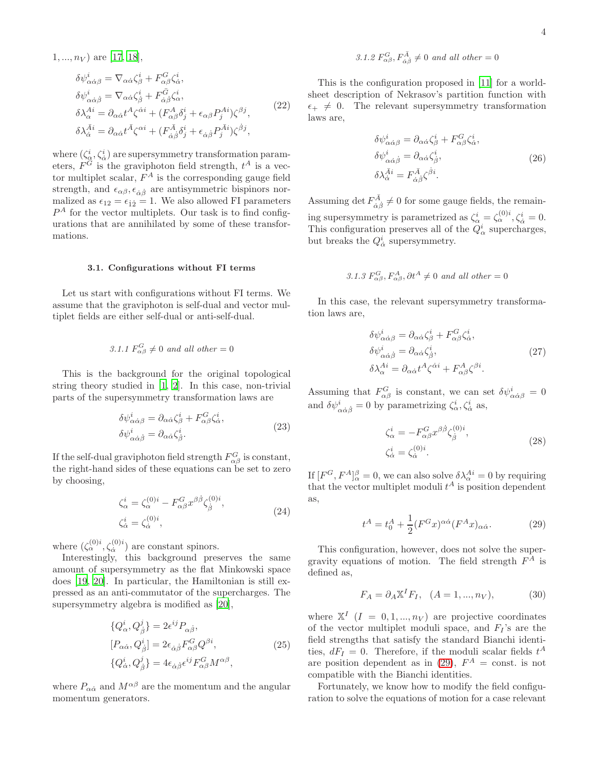$$
\delta\psi^{i}_{\alpha\dot{\alpha}\beta} = \nabla_{\alpha\dot{\alpha}}\zeta^{i}_{\beta} + F^{G}_{\alpha\beta}\zeta^{i}_{\dot{\alpha}},
$$
  
\n
$$
\delta\psi^{i}_{\alpha\dot{\alpha}\dot{\beta}} = \nabla_{\alpha\dot{\alpha}}\zeta^{i}_{\dot{\beta}} + F^{G}_{\dot{\alpha}\dot{\beta}}\zeta^{i}_{\dot{\alpha}},
$$
  
\n
$$
\delta\lambda^{Ai}_{\alpha} = \partial_{\alpha\dot{\alpha}}t^{A}\zeta^{\dot{\alpha}i} + (F^{A}_{\alpha\beta}\delta^{i}_{j} + \epsilon_{\alpha\beta}P^{Ai}_{j})\zeta^{\beta j},
$$
  
\n
$$
\delta\lambda^{A}_{\dot{\alpha}} = \partial_{\alpha\dot{\alpha}}t^{\bar{A}}\zeta^{\alpha i} + (F^{A}_{\dot{\alpha}\dot{\beta}}\delta^{i}_{j} + \epsilon_{\dot{\alpha}\dot{\beta}}P^{Ai}_{j})\zeta^{\dot{\beta}j},
$$
\n(22)

where  $(\zeta^i_{\alpha}, \zeta^i_{\dot{\alpha}})$  are supersymmetry transformation parameters,  $F^G$  is the graviphoton field strength,  $t^A$  is a vector multiplet scalar,  $F^A$  is the corresponding gauge field strength, and  $\epsilon_{\alpha\beta}, \epsilon_{\dot{\alpha}\dot{\beta}}$  are antisymmetric bispinors normalized as  $\epsilon_{12} = \epsilon_{12} = 1$ . We also allowed FI parameters  $P<sup>A</sup>$  for the vector multiplets. Our task is to find configurations that are annihilated by some of these transformations.

#### 3.1. Configurations without FI terms

Let us start with configurations without FI terms. We assume that the graviphoton is self-dual and vector multiplet fields are either self-dual or anti-self-dual.

# 3.1.1  $F_{\alpha\beta}^G \neq 0$  and all other = 0

This is the background for the original topological string theory studied in [\[1,](#page-9-0) [2\]](#page-9-1). In this case, non-trivial parts of the supersymmetry transformation laws are

$$
\delta \psi^{i}_{\alpha \dot{\alpha} \beta} = \partial_{\alpha \dot{\alpha}} \zeta^{i}_{\beta} + F^{G}_{\alpha \beta} \zeta^{i}_{\dot{\alpha}}, \n\delta \psi^{i}_{\alpha \dot{\alpha} \dot{\beta}} = \partial_{\alpha \dot{\alpha}} \zeta^{i}_{\dot{\beta}}.
$$
\n(23)

If the self-dual graviphoton field strength  $F_{\alpha\beta}^G$  is constant, the right-hand sides of these equations can be set to zero by choosing,

$$
\zeta_{\alpha}^{i} = \zeta_{\alpha}^{(0)i} - F_{\alpha\beta}^{G} x^{\beta\dot{\beta}} \zeta_{\dot{\beta}}^{(0)i},
$$
\n
$$
\zeta_{\dot{\alpha}}^{i} = \zeta_{\dot{\alpha}}^{(0)i},
$$
\n(24)

where  $(\zeta_{\alpha}^{(0)i}, \zeta_{\dot{\alpha}}^{(0)i})$  are constant spinors.

Interestingly, this background preserves the same amount of supersymmetry as the flat Minkowski space does [\[19,](#page-9-18) [20](#page-10-0)]. In particular, the Hamiltonian is still expressed as an anti-commutator of the supercharges. The supersymmetry algebra is modified as [\[20\]](#page-10-0),

$$
\{Q^i_{\alpha}, Q^j_{\dot{\beta}}\} = 2\epsilon^{ij} P_{\alpha\dot{\beta}},
$$
  
\n
$$
[P_{\alpha\dot{\alpha}}, Q^i_{\dot{\beta}}] = 2\epsilon_{\dot{\alpha}\dot{\beta}} F^G_{\alpha\beta} Q^{\beta i},
$$
  
\n
$$
\{Q^i_{\dot{\alpha}}, Q^j_{\dot{\beta}}\} = 4\epsilon_{\dot{\alpha}\dot{\beta}} \epsilon^{ij} F^G_{\alpha\beta} M^{\alpha\beta},
$$
\n(25)

<span id="page-3-2"></span>where  $P_{\alpha\dot{\alpha}}$  and  $M^{\alpha\beta}$  are the momentum and the angular momentum generators.

# 3.1.2  $F_{\alpha\beta}^G, F_{\dot{\alpha}\dot{\beta}}^{\bar{A}} \neq 0$  and all other = 0

This is the configuration proposed in [\[11\]](#page-9-9) for a worldsheet description of Nekrasov's partition function with  $\epsilon_+ \neq 0$ . The relevant supersymmetry transformation laws are,

$$
\delta\psi^{i}_{\alpha\dot{\alpha}\beta} = \partial_{\alpha\dot{\alpha}}\zeta^{i}_{\beta} + F^{G}_{\alpha\beta}\zeta^{i}_{\dot{\alpha}},
$$
  
\n
$$
\delta\psi^{i}_{\alpha\dot{\alpha}\dot{\beta}} = \partial_{\alpha\dot{\alpha}}\zeta^{i}_{\dot{\beta}},
$$
  
\n
$$
\delta\lambda^{\bar{A}i}_{\dot{\alpha}} = F^{I}_{\dot{\alpha}\dot{\beta}}\zeta^{\dot{\beta}i}.
$$
\n(26)

Assuming det  $F_{\dot{\alpha}}^{\bar{A}}$  $C_{\dot{\alpha}\dot{\beta}}^{A} \neq 0$  for some gauge fields, the remaining supersymmetry is parametrized as  $\zeta^i_\alpha = \zeta^{(0)i}_\alpha, \zeta^i_\alpha = 0.$ This configuration preserves all of the  $Q^i_\alpha$  supercharges, but breaks the  $Q^i_{\dot{\alpha}}$  supersymmetry.

3.1.3 
$$
F_{\alpha\beta}^G
$$
,  $F_{\alpha\beta}^A$ ,  $\partial t^A \neq 0$  and all other = 0

In this case, the relevant supersymmetry transformation laws are,

$$
\delta\psi^{i}_{\alpha\dot{\alpha}\beta} = \partial_{\alpha\dot{\alpha}}\zeta^{i}_{\beta} + F^{G}_{\alpha\beta}\zeta^{i}_{\dot{\alpha}},
$$
  
\n
$$
\delta\psi^{i}_{\alpha\dot{\alpha}\dot{\beta}} = \partial_{\alpha\dot{\alpha}}\zeta^{i}_{\dot{\beta}},
$$
  
\n
$$
\delta\lambda^{Ai}_{\alpha} = \partial_{\alpha\dot{\alpha}}t^{A}\zeta^{\dot{\alpha}i} + F^{A}_{\alpha\beta}\zeta^{\beta i}.
$$
\n(27)

<span id="page-3-1"></span>Assuming that  $F_{\alpha\beta}^G$  is constant, we can set  $\delta\psi^i_{\alpha\dot{\alpha}\beta} = 0$ and  $\delta \psi^i_{\alpha \dot{\alpha} \dot{\beta}} = 0$  by parametrizing  $\zeta^i_{\alpha}, \zeta^i_{\dot{\alpha}}$  as,

$$
\zeta_{\alpha}^{i} = -F_{\alpha\beta}^{G} x^{\beta\dot{\beta}} \zeta_{\dot{\beta}}^{(0)i},
$$
  
\n
$$
\zeta_{\dot{\alpha}}^{i} = \zeta_{\dot{\alpha}}^{(0)i}.
$$
\n(28)

If  $[F^G, F^A]_{\alpha}^{\beta} = 0$ , we can also solve  $\delta \lambda_{\alpha}^{Ai} = 0$  by requiring that the vector multiplet moduli  $t^A$  is position dependent as,

<span id="page-3-0"></span>
$$
t^A = t_0^A + \frac{1}{2} (F^G x)^{\alpha \dot{\alpha}} (F^A x)_{\alpha \dot{\alpha}}.
$$
 (29)

This configuration, however, does not solve the supergravity equations of motion. The field strength  $F^A$  is defined as,

$$
F_A = \partial_A \mathbb{X}^I F_I, \quad (A = 1, ..., n_V), \tag{30}
$$

where  $\mathbb{X}^{I}$   $(I = 0, 1, ..., n_{V})$  are projective coordinates of the vector multiplet moduli space, and  $F_I$ 's are the field strengths that satisfy the standard Bianchi identities,  $dF_I = 0$ . Therefore, if the moduli scalar fields  $t^A$ are position dependent as in [\(29\)](#page-3-0),  $F^A = \text{const.}$  is not compatible with the Bianchi identities.

Fortunately, we know how to modify the field configuration to solve the equations of motion for a case relevant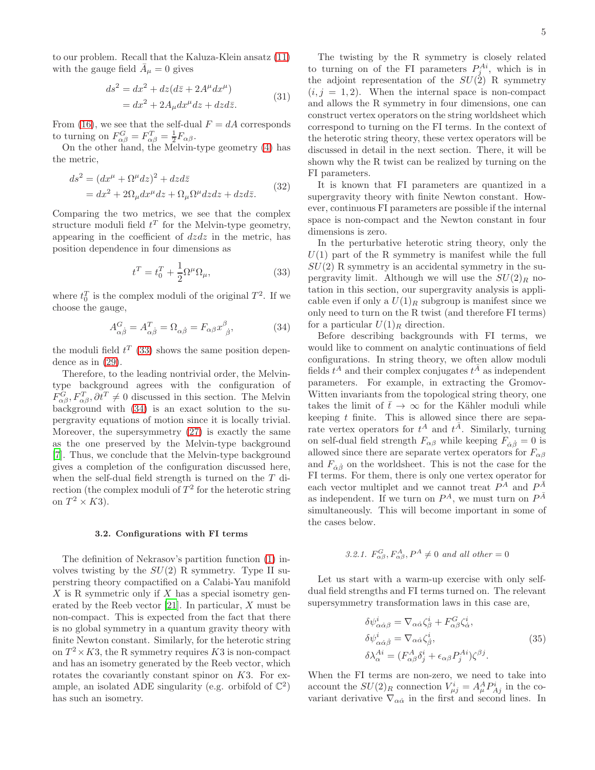to our problem. Recall that the Kaluza-Klein ansatz [\(11\)](#page-1-3) with the gauge field  $\bar{A}_{\mu} = 0$  gives

$$
ds2 = dx2 + dz(d\bar{z} + 2A\mudx\mu)
$$
  
= dx<sup>2</sup> + 2A<sub>\mu</sub>dx<sup>\mu</sup>dz + dzd\bar{z}. (31)

From [\(16\)](#page-1-5), we see that the self-dual  $F = dA$  corresponds to turning on  $F_{\alpha\beta}^G = F_{\alpha\beta}^T = \frac{1}{2} F_{\alpha\beta}$ .

On the other hand, the Melvin-type geometry [\(4\)](#page-1-0) has the metric,

$$
ds^{2} = (dx^{\mu} + \Omega^{\mu} dz)^{2} + dzd\bar{z}
$$
  
=  $dx^{2} + 2\Omega_{\mu}dx^{\mu}dz + \Omega_{\mu}\Omega^{\mu}dzdz + dzd\bar{z}.$  (32)

Comparing the two metrics, we see that the complex structure moduli field  $t^T$  for the Melvin-type geometry, appearing in the coefficient of  $dzdz$  in the metric, has position dependence in four dimensions as

<span id="page-4-0"></span>
$$
t^T = t_0^T + \frac{1}{2}\Omega^\mu \Omega_\mu,\tag{33}
$$

where  $t_0^T$  is the complex moduli of the original  $T^2$ . If we choose the gauge,

<span id="page-4-1"></span>
$$
A_{\alpha\dot{\beta}}^G = A_{\alpha\dot{\beta}}^T = \Omega_{\alpha\dot{\beta}} = F_{\alpha\beta} x_{\ \dot{\beta}}^\beta, \tag{34}
$$

the moduli field  $t^T$  [\(33\)](#page-4-0) shows the same position dependence as in [\(29\)](#page-3-0).

Therefore, to the leading nontrivial order, the Melvintype background agrees with the configuration of  $F_{\alpha\beta}^G, F_{\alpha\beta}^T, \partial t^T \neq 0$  discussed in this section. The Melvin background with [\(34\)](#page-4-1) is an exact solution to the supergravity equations of motion since it is locally trivial. Moreover, the supersymmetry [\(27\)](#page-3-1) is exactly the same as the one preserved by the Melvin-type background [\[7\]](#page-9-5). Thus, we conclude that the Melvin-type background gives a completion of the configuration discussed here, when the self-dual field strength is turned on the T direction (the complex moduli of  $T^2$  for the heterotic string on  $T^2 \times K3$ ).

#### 3.2. Configurations with FI terms

The definition of Nekrasov's partition function [\(1\)](#page-0-0) involves twisting by the  $SU(2)$  R symmetry. Type II superstring theory compactified on a Calabi-Yau manifold  $X$  is R symmetric only if  $X$  has a special isometry generated by the Reeb vector [\[21\]](#page-10-1). In particular, X must be non-compact. This is expected from the fact that there is no global symmetry in a quantum gravity theory with finite Newton constant. Similarly, for the heterotic string on  $T^2 \times K3$ , the R symmetry requires K3 is non-compact and has an isometry generated by the Reeb vector, which rotates the covariantly constant spinor on K3. For example, an isolated ADE singularity (e.g. orbifold of  $\mathbb{C}^2$ ) has such an isometry.

The twisting by the R symmetry is closely related to turning on of the FI parameters  $P_j^{Ai}$ , which is in the adjoint representation of the  $SU(2)$  R symmetry  $(i, j = 1, 2)$ . When the internal space is non-compact and allows the R symmetry in four dimensions, one can construct vertex operators on the string worldsheet which correspond to turning on the FI terms. In the context of the heterotic string theory, these vertex operators will be discussed in detail in the next section. There, it will be shown why the R twist can be realized by turning on the FI parameters.

It is known that FI parameters are quantized in a supergravity theory with finite Newton constant. However, continuous FI parameters are possible if the internal space is non-compact and the Newton constant in four dimensions is zero.

In the perturbative heterotic string theory, only the  $U(1)$  part of the R symmetry is manifest while the full  $SU(2)$  R symmetry is an accidental symmetry in the supergravity limit. Although we will use the  $SU(2)_R$  notation in this section, our supergravity analysis is applicable even if only a  $U(1)_R$  subgroup is manifest since we only need to turn on the R twist (and therefore FI terms) for a particular  $U(1)_R$  direction.

Before describing backgrounds with FI terms, we would like to comment on analytic continuations of field configurations. In string theory, we often allow moduli fields  $t^A$  and their complex conjugates  $t^{\overline{A}}$  as independent parameters. For example, in extracting the Gromov-Witten invariants from the topological string theory, one takes the limit of  $\bar{t} \to \infty$  for the Kähler moduli while keeping  $t$  finite. This is allowed since there are separate vertex operators for  $t^A$  and  $t^{\overline{A}}$ . Similarly, turning on self-dual field strength  $F_{\alpha\beta}$  while keeping  $F_{\dot{\alpha}\dot{\beta}} = 0$  is allowed since there are separate vertex operators for  $F_{\alpha\beta}$ and  $F_{\dot{\alpha}\dot{\beta}}$  on the worldsheet. This is not the case for the FI terms. For them, there is only one vertex operator for each vector multiplet and we cannot treat  $P^{\tilde{A}}$  and  $P^{\tilde{A}}$ as independent. If we turn on  $P^A$ , we must turn on  $P^{\bar{A}}$ simultaneously. This will become important in some of the cases below.

3.2.1. 
$$
F_{\alpha\beta}^G, F_{\alpha\beta}^A, P^A \neq 0
$$
 and all other = 0

Let us start with a warm-up exercise with only selfdual field strengths and FI terms turned on. The relevant supersymmetry transformation laws in this case are,

$$
\delta\psi^{i}_{\alpha\dot{\alpha}\beta} = \nabla_{\alpha\dot{\alpha}}\zeta^{i}_{\beta} + F^{G}_{\alpha\beta}\zeta^{i}_{\dot{\alpha}},
$$
  
\n
$$
\delta\psi^{i}_{\alpha\dot{\alpha}\dot{\beta}} = \nabla_{\alpha\dot{\alpha}}\zeta^{i}_{\dot{\beta}},
$$
  
\n
$$
\delta\lambda^{Ai}_{\alpha} = (F^{A}_{\alpha\beta}\delta^{i}_{j} + \epsilon_{\alpha\beta}P^{Ai}_{j})\zeta^{\beta j}.
$$
\n(35)

<span id="page-4-2"></span>When the FI terms are non-zero, we need to take into account the  $SU(2)_R$  connection  $V_{\mu j}^i = A_\mu^A P_{A j}^i$  in the covariant derivative  $\nabla_{\alpha\dot{\alpha}}$  in the first and second lines. In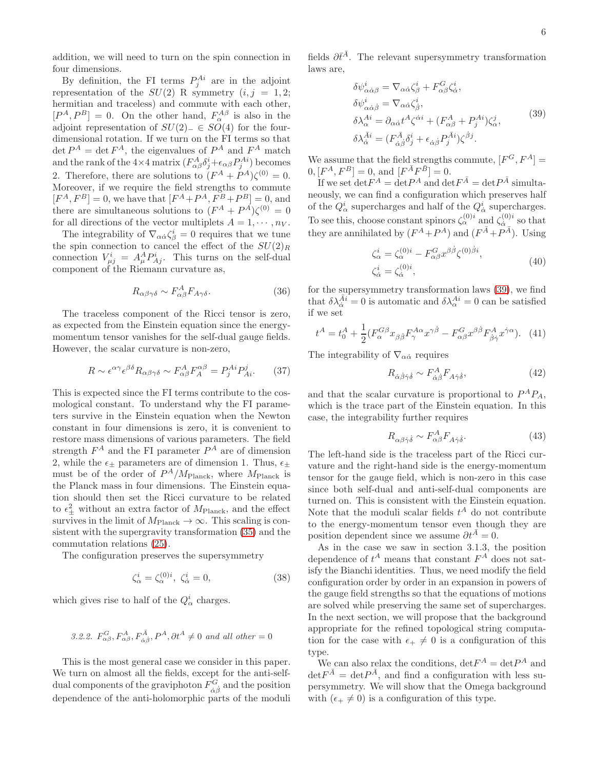addition, we will need to turn on the spin connection in four dimensions.

By definition, the FI terms  $P_j^{Ai}$  are in the adjoint representation of the  $SU(2)$  R symmetry  $(i, j = 1, 2;$ hermitian and traceless) and commute with each other,  $[P^A, P^B] = 0$ . On the other hand,  $F^{A\beta}_{\alpha}$  is also in the adjoint representation of  $SU(2)$ <sub>−</sub> ∈  $SO(4)$  for the fourdimensional rotation. If we turn on the FI terms so that  $\det P^A = \det F^A$ , the eigenvalues of  $P^A$  and  $F^A$  match and the rank of the  $4\times 4$  matrix  $(F_{\alpha\beta}^A \delta^i_j + \epsilon_{\alpha\beta} P^{Ai}_j)$  becomes 2. Therefore, there are solutions to  $(F^A + P^A)\zeta^{(0)} = 0$ . Moreover, if we require the field strengths to commute  $[F<sup>A</sup>, F<sup>B</sup>] = 0$ , we have that  $[F<sup>A</sup> + P<sup>A</sup>, F<sup>B</sup> + P<sup>B</sup>] = 0$ , and there are simultaneous solutions to  $(F^A + P^A)\zeta^{(0)} = 0$ for all directions of the vector multiplets  $A = 1, \dots, n_V$ .

The integrability of  $\nabla_{\alpha\dot{\alpha}} \zeta_{\beta}^i = 0$  requires that we tune the spin connection to cancel the effect of the  $SU(2)_R$ connection  $V_{\mu j}^i = A_{\mu}^A P_{Aj}^i$ . This turns on the self-dual component of the Riemann curvature as,

$$
R_{\alpha\beta\gamma\delta} \sim F_{\alpha\beta}^A F_{A\gamma\delta}.\tag{36}
$$

The traceless component of the Ricci tensor is zero, as expected from the Einstein equation since the energymomentum tensor vanishes for the self-dual gauge fields. However, the scalar curvature is non-zero,

$$
R \sim \epsilon^{\alpha \gamma} \epsilon^{\beta \delta} R_{\alpha \beta \gamma \delta} \sim F_{\alpha \beta}^A F_A^{\alpha \beta} = P_j^{Ai} P_{Ai}^j. \tag{37}
$$

This is expected since the FI terms contribute to the cosmological constant. To understand why the FI parameters survive in the Einstein equation when the Newton constant in four dimensions is zero, it is convenient to restore mass dimensions of various parameters. The field strength  $F^A$  and the FI parameter  $P^A$  are of dimension 2, while the  $\epsilon_{+}$  parameters are of dimension 1. Thus,  $\epsilon_{+}$ must be of the order of  $P^A/M_{\text{Planck}}$ , where  $M_{\text{Planck}}$  is the Planck mass in four dimensions. The Einstein equation should then set the Ricci curvature to be related to  $\epsilon_{\pm}^2$  without an extra factor of  $M_{\text{Planck}}$ , and the effect survives in the limit of  $M_{\rm Planck} \rightarrow \infty$  . This scaling is consistent with the supergravity transformation [\(35\)](#page-4-2) and the commutation relations [\(25\)](#page-3-2).

The configuration preserves the supersymmetry

$$
\zeta_{\alpha}^{i} = \zeta_{\alpha}^{(0)i}, \ \zeta_{\dot{\alpha}}^{i} = 0,\tag{38}
$$

which gives rise to half of the  $Q^i_{\alpha}$  charges.

3.2.2. 
$$
F_{\alpha\beta}^G, F_{\alpha\beta}^A, F_{\dot{\alpha}\dot{\beta}}^{\bar{A}}, P^A, \partial t^A \neq 0
$$
 and all other = 0

This is the most general case we consider in this paper. We turn on almost all the fields, except for the anti-selfdual components of the graviphoton  $F_{\dot{\alpha}\dot{\beta}}^{G}$  and the position dependence of the anti-holomorphic parts of the moduli

fields  $\partial \bar{t}^{\bar{A}}$ . The relevant supersymmetry transformation laws are,

$$
\delta\psi^{i}_{\alpha\dot{\alpha}\beta} = \nabla_{\alpha\dot{\alpha}}\zeta^i_{\beta} + F^{G}_{\alpha\beta}\zeta^i_{\dot{\alpha}},
$$
  
\n
$$
\delta\psi^{i}_{\alpha\dot{\alpha}\dot{\beta}} = \nabla_{\alpha\dot{\alpha}}\zeta^i_{\dot{\beta}},
$$
  
\n
$$
\delta\lambda^{Ai}_{\alpha} = \partial_{\alpha\dot{\alpha}}t^A\zeta^{\dot{\alpha}i} + (F^{A}_{\alpha\beta} + P^{Ai}_{j})\zeta^j_{\alpha},
$$
  
\n
$$
\delta\lambda^{\bar{A}i}_{\dot{\alpha}} = (F^{A}_{\dot{\alpha}\dot{\beta}}\delta^i_j + \epsilon_{\dot{\alpha}\dot{\beta}}P^{A}^{i})\zeta^{\dot{\beta}j}.
$$
\n(39)

<span id="page-5-0"></span>We assume that the field strengths commute,  $[F^G, F^A] =$  $[0, [F^A, F^B] = 0, \text{ and } [F^{\bar{A}}F^{\bar{B}}] = 0.$ 

If we set  $\det F^A = \det P^A$  and  $\det F^{\bar{A}} = \det P^{\bar{A}}$  simultaneously, we can find a configuration which preserves half of the  $Q^i_\alpha$  supercharges and half of the  $Q^i_{\dot{\alpha}}$  supercharges. To see this, choose constant spinors  $\zeta_{\alpha}^{(0)i}$  and  $\zeta_{\dot{\alpha}}^{(0)i}$  $\alpha_{\alpha}^{(0)i}$  so that they are annihilated by  $(F^A + P^A)$  and  $(F^{\bar{A}} + P^{\bar{A}})$ . Using

$$
\zeta_{\alpha}^{i} = \zeta_{\alpha}^{(0)i} - F_{\alpha\beta}^{G} x^{\beta\dot{\beta}} \zeta^{(0)\dot{\beta}i},
$$
  
\n
$$
\zeta_{\dot{\alpha}}^{i} = \zeta_{\dot{\alpha}}^{(0)i},
$$
\n(40)

for the supersymmetry transformation laws [\(39\)](#page-5-0), we find that  $\delta \lambda_{\dot{\alpha}}^{\bar{A}i} = 0$  is automatic and  $\delta \lambda_{\alpha}^{Ai} = 0$  can be satisfied if we set

$$
t^A = t_0^A + \frac{1}{2} (F_\alpha^{G\beta} x_{\beta\dot{\beta}} F_\gamma^{A\alpha} x^{\gamma\dot{\beta}} - F_{\alpha\beta}^G x^{\beta\dot{\beta}} F_{\dot{\beta}\dot{\gamma}}^A x^{\dot{\gamma}\alpha}). \tag{41}
$$

The integrability of  $\nabla_{\alpha\dot{\alpha}}$  requires

$$
R_{\dot{\alpha}\dot{\beta}\dot{\gamma}\dot{\delta}} \sim F_{\dot{\alpha}\dot{\beta}}^{A} F_{A\dot{\gamma}\dot{\delta}},\tag{42}
$$

and that the scalar curvature is proportional to  $P^A P_A$ , which is the trace part of the Einstein equation. In this case, the integrability further requires

$$
R_{\alpha\beta\dot{\gamma}\dot{\delta}} \sim F_{\alpha\beta}^A F_{A\dot{\gamma}\dot{\delta}}.\tag{43}
$$

The left-hand side is the traceless part of the Ricci curvature and the right-hand side is the energy-momentum tensor for the gauge field, which is non-zero in this case since both self-dual and anti-self-dual components are turned on. This is consistent with the Einstein equation. Note that the moduli scalar fields  $t^A$  do not contribute to the energy-momentum tensor even though they are position dependent since we assume  $\partial t^{\bar{A}} = 0$ .

As in the case we saw in section 3.1.3, the position dependence of  $t^A$  means that constant  $F^A$  does not satisfy the Bianchi identities. Thus, we need modify the field configuration order by order in an expansion in powers of the gauge field strengths so that the equations of motions are solved while preserving the same set of supercharges. In the next section, we will propose that the background appropriate for the refined topological string computation for the case with  $\epsilon_+ \neq 0$  is a configuration of this type.

We can also relax the conditions,  $det F^A = det P^A$  and  $\det F^{\bar{A}} = \det P^{\bar{A}}$ , and find a configuration with less supersymmetry. We will show that the Omega background with  $(\epsilon_+ \neq 0)$  is a configuration of this type.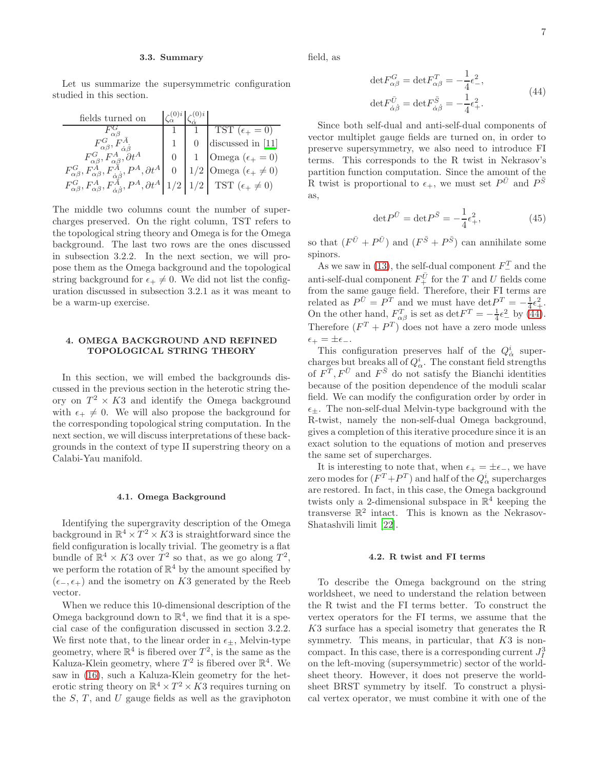#### 3.3. Summary

Let us summarize the supersymmetric configuration studied in this section.

| fields turned on                                                                                                                                |  |                                                                                                                                      |
|-------------------------------------------------------------------------------------------------------------------------------------------------|--|--------------------------------------------------------------------------------------------------------------------------------------|
|                                                                                                                                                 |  | TST $(\epsilon_+ = 0)$                                                                                                               |
|                                                                                                                                                 |  | discussed in [11]                                                                                                                    |
| $F^A_{\alpha\beta}$ , $\partial t^A$                                                                                                            |  | $\begin{array}{c} 1 \\ /2 \end{array} \begin{cases} \text{Omega } (\epsilon_+ = 0) \\ \text{Omega } (\epsilon_+ \neq 0) \end{cases}$ |
| $F_{\alpha\beta}^G, F_{\alpha\beta}^A, F_{\dot{\alpha}\dot{\beta}}^A, P^A, \partial t^A$                                                        |  |                                                                                                                                      |
| $F_{\alpha\beta}^G, F_{\alpha\beta}^A, F_{\dot{\alpha}\dot{\beta}}^{\dot{A}}, P^A, \partial t^A   1/2   1/2   \text{ TST } (\epsilon_+ \neq 0)$ |  |                                                                                                                                      |

The middle two columns count the number of supercharges preserved. On the right column, TST refers to the topological string theory and Omega is for the Omega background. The last two rows are the ones discussed in subsection 3.2.2. In the next section, we will propose them as the Omega background and the topological string background for  $\epsilon_+ \neq 0$ . We did not list the configuration discussed in subsection 3.2.1 as it was meant to be a warm-up exercise.

# 4. OMEGA BACKGROUND AND REFINED TOPOLOGICAL STRING THEORY

In this section, we will embed the backgrounds discussed in the previous section in the heterotic string theory on  $T^2 \times K3$  and identify the Omega background with  $\epsilon_+ \neq 0$ . We will also propose the background for the corresponding topological string computation. In the next section, we will discuss interpretations of these backgrounds in the context of type II superstring theory on a Calabi-Yau manifold.

#### 4.1. Omega Background

Identifying the supergravity description of the Omega background in  $\mathbb{R}^4 \times T^2 \times K3$  is straightforward since the field configuration is locally trivial. The geometry is a flat bundle of  $\mathbb{R}^4 \times K3$  over  $T^2$  so that, as we go along  $T^2$ , we perform the rotation of  $\mathbb{R}^4$  by the amount specified by  $(\epsilon_-, \epsilon_+)$  and the isometry on K3 generated by the Reeb vector.

When we reduce this 10-dimensional description of the Omega background down to  $\mathbb{R}^4$ , we find that it is a special case of the configuration discussed in section 3.2.2. We first note that, to the linear order in  $\epsilon_+$ , Melvin-type geometry, where  $\mathbb{R}^4$  is fibered over  $T^2$ , is the same as the Kaluza-Klein geometry, where  $T^2$  is fibered over  $\mathbb{R}^4$ . We saw in [\(16\)](#page-1-5), such a Kaluza-Klein geometry for the heterotic string theory on  $\mathbb{R}^4 \times T^2 \times K3$  requires turning on the  $S, T$ , and  $U$  gauge fields as well as the graviphoton <span id="page-6-0"></span>field, as

$$
\det F_{\alpha\beta}^G = \det F_{\alpha\beta}^T = -\frac{1}{4}\epsilon^2,
$$
  

$$
\det F_{\dot{\alpha}\dot{\beta}}^{\bar{U}} = \det F_{\dot{\alpha}\dot{\beta}}^{\bar{S}} = -\frac{1}{4}\epsilon^2.
$$
 (44)

Since both self-dual and anti-self-dual components of vector multiplet gauge fields are turned on, in order to preserve supersymmetry, we also need to introduce FI terms. This corresponds to the R twist in Nekrasov's partition function computation. Since the amount of the R twist is proportional to  $\epsilon_{+}$ , we must set  $P^{\bar{U}}$  and  $P^{\bar{S}}$ as,

$$
\det P^{\bar{U}} = \det P^{\bar{S}} = -\frac{1}{4}\epsilon_+^2,\tag{45}
$$

so that  $(F^{\bar{U}} + P^{\bar{U}})$  and  $(F^{\bar{S}} + P^{\bar{S}})$  can annihilate some spinors.

As we saw in [\(13\)](#page-1-6), the self-dual component  $F_{-}^{T}$  and the anti-self-dual component  $F_+^{\bar{U}}$  for the T and U fields come from the same gauge field. Therefore, their FI terms are related as  $P^{\bar{U}} = P^T$  and we must have  $\det P^T = -\frac{1}{4}\epsilon_+^2$ . On the other hand,  $F_{\alpha\beta}^T$  is set as  $\det F^T = -\frac{1}{4}\epsilon^2$  by [\(44\)](#page-6-0). Therefore  $(F^T + P^T)$  does not have a zero mode unless  $\epsilon_{+} = \pm \epsilon_{-}.$ 

This configuration preserves half of the  $Q^i_{\dot{\alpha}}$  supercharges but breaks all of  $Q^i_\alpha$ . The constant field strengths of  $F^T, F^{\bar{U}}$  and  $F^{\bar{S}}$  do not satisfy the Bianchi identities because of the position dependence of the moduli scalar field. We can modify the configuration order by order in  $\epsilon_{\pm}$ . The non-self-dual Melvin-type background with the R-twist, namely the non-self-dual Omega background, gives a completion of this iterative procedure since it is an exact solution to the equations of motion and preserves the same set of supercharges.

It is interesting to note that, when  $\epsilon_{+} = \pm \epsilon_{-}$ , we have zero modes for  $(F^T + P^T)$  and half of the  $Q^i_\alpha$  supercharges are restored. In fact, in this case, the Omega background twists only a 2-dimensional subspace in  $\mathbb{R}^4$  keeping the transverse  $\mathbb{R}^2$  intact. This is known as the Nekrasov-Shatashvili limit [\[22\]](#page-10-2).

#### 4.2. R twist and FI terms

To describe the Omega background on the string worldsheet, we need to understand the relation between the R twist and the FI terms better. To construct the vertex operators for the FI terms, we assume that the K3 surface has a special isometry that generates the R symmetry. This means, in particular, that  $K3$  is noncompact. In this case, there is a corresponding current  $J_I^3$ on the left-moving (supersymmetric) sector of the worldsheet theory. However, it does not preserve the worldsheet BRST symmetry by itself. To construct a physical vertex operator, we must combine it with one of the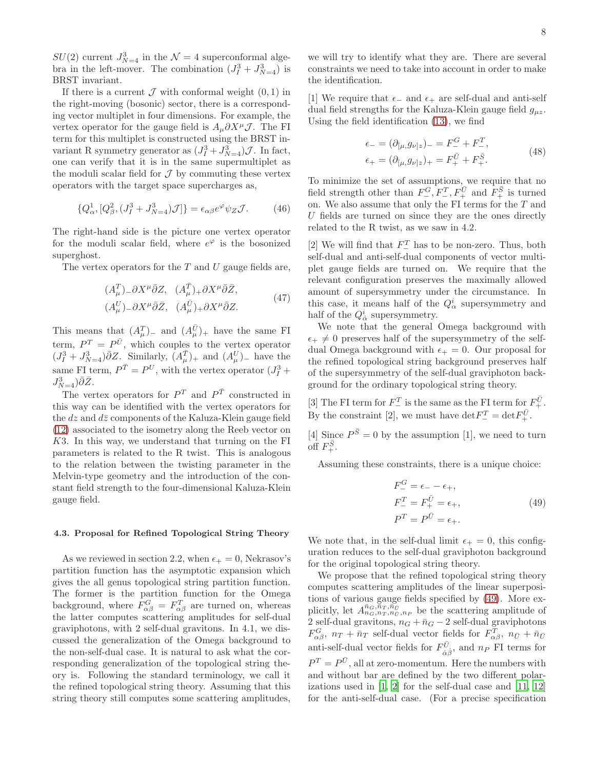$SU(2)$  current  $J_{N=4}^3$  in the  $\mathcal{N}=4$  superconformal algebra in the left-mover. The combination  $(J_I^3 + J_{N=4}^3)$  is BRST invariant.

If there is a current  $\mathcal J$  with conformal weight  $(0, 1)$  in the right-moving (bosonic) sector, there is a corresponding vector multiplet in four dimensions. For example, the vertex operator for the gauge field is  $A_{\mu}\partial X^{\mu}\mathcal{J}$ . The FI term for this multiplet is constructed using the BRST invariant R symmetry generator as  $(J_I^3 + J_{N=4}^3)$ *J*. In fact, one can verify that it is in the same supermultiplet as the moduli scalar field for  $\mathcal J$  by commuting these vertex operators with the target space supercharges as,

$$
\{Q^1_{\alpha}, [Q^2_{\beta}, (J^3_I + J^3_{N=4})\mathcal{J}]\} = \epsilon_{\alpha\beta} e^{\varphi} \psi_Z \mathcal{J}.
$$
 (46)

<span id="page-7-1"></span>The right-hand side is the picture one vertex operator for the moduli scalar field, where  $e^{\varphi}$  is the bosonized superghost.

The vertex operators for the  $T$  and  $U$  gauge fields are,

$$
(A^T_{\mu}) - \partial X^{\mu} \bar{\partial} Z, \quad (A^{\bar{T}}_{\mu}) + \partial X^{\mu} \bar{\partial} \bar{Z}, (A^U_{\mu}) - \partial X^{\mu} \bar{\partial} \bar{Z}, \quad (A^{\bar{U}}_{\mu}) + \partial X^{\mu} \bar{\partial} Z.
$$
 (47)

This means that  $(A^T_\mu)$ <sub>-</sub> and  $(A^{\bar{U}}_\mu)$ <sub>+</sub> have the same FI term,  $P^T = P^{\bar{U}}$ , which couples to the vertex operator  $(J_I^3 + J_{N=4}^3) \bar{\partial} Z$ . Similarly,  $(A_\mu^{\bar{T}})_+$  and  $(A_\mu^U)_-$  have the same FI term,  $P^{\bar{T}} = P^U$ , with the vertex operator  $(J_I^3 +$  $J_{N=4}^3$  $\bar{\partial}\bar{Z}.$ 

The vertex operators for  $P^T$  and  $P^{\bar{T}}$  constructed in this way can be identified with the vertex operators for the  $dz$  and  $d\bar{z}$  components of the Kaluza-Klein gauge field [\(12\)](#page-1-7) associated to the isometry along the Reeb vector on K3. In this way, we understand that turning on the FI parameters is related to the R twist. This is analogous to the relation between the twisting parameter in the Melvin-type geometry and the introduction of the constant field strength to the four-dimensional Kaluza-Klein gauge field.

# 4.3. Proposal for Refined Topological String Theory

As we reviewed in section 2.2, when  $\epsilon_+ = 0$ , Nekrasov's partition function has the asymptotic expansion which gives the all genus topological string partition function. The former is the partition function for the Omega background, where  $F_{\alpha\beta}^G = F_{\alpha\beta}^T$  are turned on, whereas the latter computes scattering amplitudes for self-dual graviphotons, with 2 self-dual gravitons. In 4.1, we discussed the generalization of the Omega background to the non-self-dual case. It is natural to ask what the corresponding generalization of the topological string theory is. Following the standard terminology, we call it the refined topological string theory. Assuming that this string theory still computes some scattering amplitudes,

we will try to identify what they are. There are several constraints we need to take into account in order to make the identification.

[1] We require that  $\epsilon_-\$  and  $\epsilon_+$  are self-dual and anti-self dual field strengths for the Kaluza-Klein gauge field  $g_{\mu z}$ . Using the field identification [\(13\)](#page-1-6), we find

$$
\epsilon_{-} = (\partial_{[\mu, g_{\nu]z}})_{-} = F_{-}^{G} + F_{-}^{T}, \n\epsilon_{+} = (\partial_{[\mu, g_{\nu]z}})_{+} = F_{+}^{\bar{\nu}} + F_{+}^{\bar{S}}.
$$
\n(48)

To minimize the set of assumptions, we require that no field strength other than  $F_{-}^G, F_{-}^T, F_{+}^{\bar{U}}$  and  $F_{+}^{\bar{S}}$  is turned on. We also assume that only the FI terms for the  $T$  and  $U$  fields are turned on since they are the ones directly related to the R twist, as we saw in 4.2.

[2] We will find that  $F_{-}^{T}$  has to be non-zero. Thus, both self-dual and anti-self-dual components of vector multiplet gauge fields are turned on. We require that the relevant configuration preserves the maximally allowed amount of supersymmetry under the circumstance. In this case, it means half of the  $Q^i_\alpha$  supersymmetry and half of the  $Q^i_{\dot{\alpha}}$  supersymmetry.

We note that the general Omega background with  $\epsilon_+ \neq 0$  preserves half of the supersymmetry of the selfdual Omega background with  $\epsilon_+ = 0$ . Our proposal for the refined topological string background preserves half of the supersymmetry of the self-dual graviphoton background for the ordinary topological string theory.

[3] The FI term for  $F_-^T$  is the same as the FI term for  $F_+^{\bar{U}}.$ By the constraint [2], we must have  $\det F_-^T = \det F_+^{\bar{U}}$ .

[4] Since  $P^{\bar{S}} = 0$  by the assumption [1], we need to turn off  $F^{\bar{S}}_+$ .

Assuming these constraints, there is a unique choice:

$$
F_{-}^{G} = \epsilon_{-} - \epsilon_{+}, F_{-}^{T} = F_{+}^{\bar{U}} = \epsilon_{+}, P^{T} = P^{\bar{U}} = \epsilon_{+}.
$$
 (49)

<span id="page-7-0"></span>We note that, in the self-dual limit  $\epsilon_+ = 0$ , this configuration reduces to the self-dual graviphoton background for the original topological string theory.

We propose that the refined topological string theory computes scattering amplitudes of the linear superpositions of various gauge fields specified by [\(49\)](#page-7-0). More explicitly, let  $A_{n_G,n_T,n_{\bar{U}},n_P}^{\bar{n}_G,\bar{n}_T,\bar{n}_{\bar{U}}}\;$  be the scattering amplitude of 2 self-dual gravitons,  $n_G + \bar{n}_G - 2$  self-dual graviphotons  $F_{\alpha\beta}^G$ ,  $n_T + \bar{n}_T$  self-dual vector fields for  $F_{\alpha\beta}^T$ ,  $n_{\bar{U}} + \bar{n}_{\bar{U}}$ anti-self-dual vector fields for  $F^{\bar{U}}_{\dot{\alpha}}$  $\alpha_{\dot{\alpha}\dot{\beta}}^{\dot{\alpha}},$  and  $n_P$  FI terms for  $P^{T} = P^{\bar{U}}$ , all at zero-momentum. Here the numbers with and without bar are defined by the two different polarizations used in [\[1](#page-9-0), [2\]](#page-9-1) for the self-dual case and [\[11,](#page-9-9) [12](#page-9-10)] for the anti-self-dual case. (For a precise specification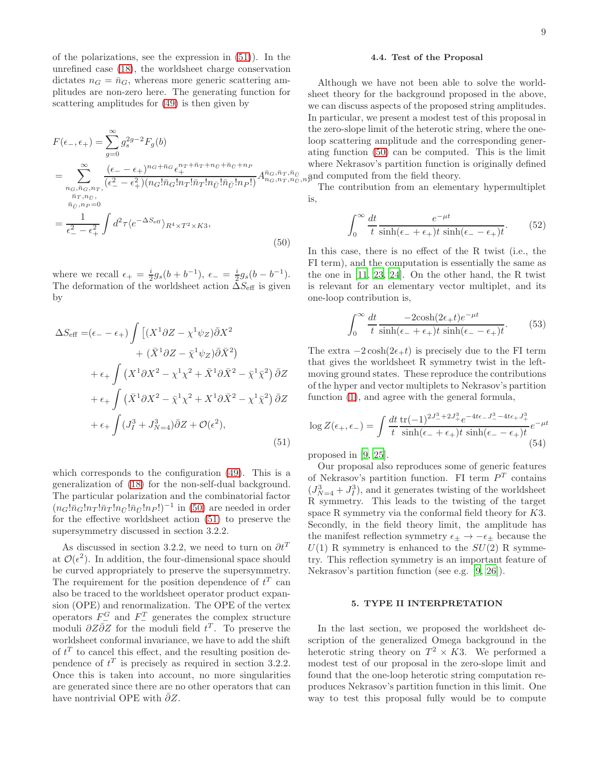of the polarizations, see the expression in [\(51\)](#page-8-0)). In the unrefined case [\(18\)](#page-2-0), the worldsheet charge conservation dictates  $n_G = \bar{n}_G$ , whereas more generic scattering amplitudes are non-zero here. The generating function for scattering amplitudes for [\(49\)](#page-7-0) is then given by

<span id="page-8-1"></span>
$$
F(\epsilon_{-}, \epsilon_{+}) = \sum_{g=0}^{\infty} g_s^{2g-2} F_g(b)
$$
  
= 
$$
\sum_{\substack{n_G, \bar{n}_G, n_T, \\ \bar{n}_T, n_G}}^{\infty} \frac{(\epsilon_{-} - \epsilon_{+})^{n_G + \bar{n}_G} \epsilon_{+}^{n_T + \bar{n}_T + n_U + \bar{n}_G + n_P}}{(\epsilon_{-}^2 - \epsilon_{+}^2)(n_G! \bar{n}_G! n_T! \bar{n}_T! n_{\bar{U}}! \bar{n}_{\bar{U}}! n_P!)} A_{n_G, n_T, n}^{\bar{n}_G, \bar{n}_T, \bar{n}_T}
$$
  
= 
$$
\frac{1}{\epsilon_{-}^2 - \epsilon_{+}^2} \int d^2 \tau \langle e^{-\Delta S_{\text{eff}}} \rangle_{R^4 \times T^2 \times K3},
$$
(50)

where we recall  $\epsilon_+ = \frac{i}{2} g_s (b + b^{-1}), \epsilon_- = \frac{i}{2} g_s (b - b^{-1}).$ The deformation of the worldsheet action  $\tilde{\Delta}S_{\text{eff}}$  is given by

<span id="page-8-0"></span>
$$
\Delta S_{\text{eff}} = (\epsilon_{-} - \epsilon_{+}) \int \left[ (X^{1} \partial Z - \chi^{1} \psi_{Z}) \bar{\partial} X^{2} \right. \\ \left. + (\bar{X}^{1} \partial Z - \bar{\chi}^{1} \psi_{Z}) \bar{\partial} \bar{X}^{2} \right) \\ + \epsilon_{+} \int (X^{1} \partial X^{2} - \chi^{1} \chi^{2} + \bar{X}^{1} \partial \bar{X}^{2} - \bar{\chi}^{1} \bar{\chi}^{2}) \bar{\partial} Z \\ + \epsilon_{+} \int (\bar{X}^{1} \partial X^{2} - \bar{\chi}^{1} \chi^{2} + X^{1} \partial \bar{X}^{2} - \chi^{1} \bar{\chi}^{2}) \bar{\partial} Z \\ + \epsilon_{+} \int (J_{I}^{3} + J_{N=4}^{3}) \bar{\partial} Z + \mathcal{O}(\epsilon^{2}), \tag{51}
$$

which corresponds to the configuration [\(49\)](#page-7-0). This is a generalization of [\(18\)](#page-2-0) for the non-self-dual background. The particular polarization and the combinatorial factor  $(n_G! \bar{n}_G! n_T! \bar{n}_{\bar{U}}! \bar{n}_{\bar{U}}! n_P!)^{-1}$  in [\(50\)](#page-8-1) are needed in order for the effective worldsheet action [\(51\)](#page-8-0) to preserve the supersymmetry discussed in section 3.2.2.

As discussed in section 3.2.2, we need to turn on  $\partial t^T$ at  $\mathcal{O}(\epsilon^2)$ . In addition, the four-dimensional space should be curved appropriately to preserve the supersymmetry. The requirement for the position dependence of  $t^T$  can also be traced to the worldsheet operator product expansion (OPE) and renormalization. The OPE of the vertex operators  $F_-^G$  and  $F_-^T$  generates the complex structure moduli  $\partial Z \overline{\partial} Z$  for the moduli field  $t^T$ . To preserve the worldsheet conformal invariance, we have to add the shift of  $t^T$  to cancel this effect, and the resulting position dependence of  $t^T$  is precisely as required in section 3.2.2. Once this is taken into account, no more singularities are generated since there are no other operators that can have nontrivial OPE with  $\partial Z$ .

#### 4.4. Test of the Proposal

 $\bar{n}_{G,n_T,\bar{n}_{\bar{U}}}$  and computed from the field theory. Although we have not been able to solve the worldsheet theory for the background proposed in the above, we can discuss aspects of the proposed string amplitudes. In particular, we present a modest test of this proposal in the zero-slope limit of the heterotic string, where the oneloop scattering amplitude and the corresponding generating function [\(50\)](#page-8-1) can be computed. This is the limit where Nekrasov's partition function is originally defined

The contribution from an elementary hypermultiplet is,

$$
\int_0^\infty \frac{dt}{t} \frac{e^{-\mu t}}{\sinh(\epsilon_- + \epsilon_+) t \sinh(\epsilon_- - \epsilon_+) t}.
$$
 (52)

In this case, there is no effect of the R twist (i.e., the FI term), and the computation is essentially the same as the one in [\[11](#page-9-9), [23,](#page-10-3) [24](#page-10-4)]. On the other hand, the R twist is relevant for an elementary vector multiplet, and its one-loop contribution is,

$$
\int_0^\infty \frac{dt}{t} \frac{-2\cosh(2\epsilon_+)e^{-\mu t}}{\sinh(\epsilon_- + \epsilon_+)t \sinh(\epsilon_- - \epsilon_+)t}.\tag{53}
$$

The extra  $-2\cosh(2\epsilon_{+}t)$  is precisely due to the FI term that gives the worldsheet R symmetry twist in the leftmoving ground states. These reproduce the contributions of the hyper and vector multiplets to Nekrasov's partition function [\(1\)](#page-0-0), and agree with the general formula,

$$
\log Z(\epsilon_+,\epsilon_-) = \int \frac{dt}{t} \frac{\text{tr}(-1)^{2J_-^3 + 2J_+^3} e^{-4t\epsilon_- J_-^3 - 4t\epsilon_+ J_+^3}}{\sinh(\epsilon_- + \epsilon_+)t} e^{-\mu t}
$$
\n(54)

proposed in [\[9,](#page-9-7) [25\]](#page-10-5).

Our proposal also reproduces some of generic features of Nekrasov's partition function. FI term  $P<sup>T</sup>$  contains  $(J_{N=4}^3 + J_I^3)$ , and it generates twisting of the worldsheet R symmetry. This leads to the twisting of the target space R symmetry via the conformal field theory for K3. Secondly, in the field theory limit, the amplitude has the manifest reflection symmetry  $\epsilon_{\pm} \rightarrow -\epsilon_{\pm}$  because the  $U(1)$  R symmetry is enhanced to the  $SU(2)$  R symmetry. This reflection symmetry is an important feature of Nekrasov's partition function (see e.g. [\[9,](#page-9-7) [26\]](#page-10-6)).

# 5. TYPE II INTERPRETATION

In the last section, we proposed the worldsheet description of the generalized Omega background in the heterotic string theory on  $T^2 \times K3$ . We performed a modest test of our proposal in the zero-slope limit and found that the one-loop heterotic string computation reproduces Nekrasov's partition function in this limit. One way to test this proposal fully would be to compute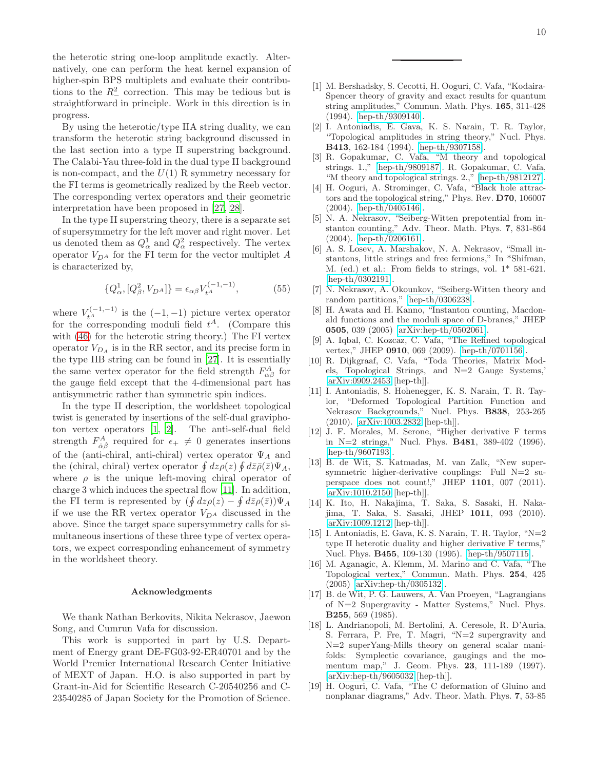the heterotic string one-loop amplitude exactly. Alternatively, one can perform the heat kernel expansion of higher-spin BPS multiplets and evaluate their contributions to the  $R_-^2$  correction. This may be tedious but is straightforward in principle. Work in this direction is in progress.

By using the heterotic/type IIA string duality, we can transform the heterotic string background discussed in the last section into a type II superstring background. The Calabi-Yau three-fold in the dual type II background is non-compact, and the  $U(1)$  R symmetry necessary for the FI terms is geometrically realized by the Reeb vector. The corresponding vertex operators and their geometric interpretation have been proposed in [\[27,](#page-10-7) [28\]](#page-10-8).

In the type II superstring theory, there is a separate set of supersymmetry for the left mover and right mover. Let us denoted them as  $Q^1_\alpha$  and  $Q^2_\alpha$  respectively. The vertex operator  $V_{D^A}$  for the FI term for the vector multiplet A is characterized by,

$$
\{Q^1_{\alpha}, [Q^2_{\beta}, V_{DA}]\} = \epsilon_{\alpha\beta} V_{t^A}^{(-1,-1)},\tag{55}
$$

where  $V_{t^A}^{(-1,-1)}$  is the  $(-1,-1)$  picture vertex operator for the corresponding moduli field  $t^A$ . (Compare this with [\(46\)](#page-7-1) for the heterotic string theory.) The FI vertex operator  $V_{D_A}$  is in the RR sector, and its precise form in the type IIB string can be found in [\[27\]](#page-10-7). It is essentially the same vertex operator for the field strength  $F_{\alpha\beta}^{A}$  for the gauge field except that the 4-dimensional part has antisymmetric rather than symmetric spin indices.

In the type II description, the worldsheet topological twist is generated by insertions of the self-dual graviphoton vertex operators [\[1](#page-9-0), [2](#page-9-1)]. The anti-self-dual field strength  $F^A_{\dot{\alpha}\dot{\beta}}$  required for  $\epsilon_+ \neq 0$  generates insertions of the (anti-chiral, anti-chiral) vertex operator  $\Psi_A$  and the (chiral, chiral) vertex operator  $\oint dz \rho(z) \oint d\bar{z} \bar{\rho}(\bar{z}) \Psi_A$ , where  $\rho$  is the unique left-moving chiral operator of charge 3 which induces the spectral flow [\[11](#page-9-9)]. In addition, the FI term is represented by  $(\oint dz \rho(z) - \oint d\bar{z} \rho(\bar{z})) \Psi_A$ if we use the RR vertex operator  $V_{D^A}$  discussed in the above. Since the target space supersymmetry calls for simultaneous insertions of these three type of vertex operators, we expect corresponding enhancement of symmetry in the worldsheet theory.

#### Acknowledgments

We thank Nathan Berkovits, Nikita Nekrasov, Jaewon Song, and Cumrun Vafa for discussion.

This work is supported in part by U.S. Department of Energy grant DE-FG03-92-ER40701 and by the World Premier International Research Center Initiative of MEXT of Japan. H.O. is also supported in part by Grant-in-Aid for Scientific Research C-20540256 and C-23540285 of Japan Society for the Promotion of Science.

- <span id="page-9-0"></span>[1] M. Bershadsky, S. Cecotti, H. Ooguri, C. Vafa, "Kodaira-Spencer theory of gravity and exact results for quantum string amplitudes," Commun. Math. Phys. 165, 311-428 (1994). [\[hep-th/9309140\]](http://arxiv.org/abs/hep-th/9309140).
- <span id="page-9-1"></span>[2] I. Antoniadis, E. Gava, K. S. Narain, T. R. Taylor, "Topological amplitudes in string theory," Nucl. Phys. B413, 162-184 (1994). [\[hep-th/9307158\]](http://arxiv.org/abs/hep-th/9307158).
- <span id="page-9-2"></span>[3] R. Gopakumar, C. Vafa, "M theory and topological strings. 1.," [\[hep-th/9809187\]](http://arxiv.org/abs/hep-th/9809187). R. Gopakumar, C. Vafa, "M theory and topological strings. 2.," [\[hep-th/9812127\]](http://arxiv.org/abs/hep-th/9812127).
- <span id="page-9-3"></span>[4] H. Ooguri, A. Strominger, C. Vafa, "Black hole attractors and the topological string," Phys. Rev. D70, 106007 (2004). [\[hep-th/0405146\]](http://arxiv.org/abs/hep-th/0405146).
- <span id="page-9-4"></span>[5] N. A. Nekrasov, "Seiberg-Witten prepotential from instanton counting," Adv. Theor. Math. Phys. 7, 831-864 (2004). [\[hep-th/0206161\]](http://arxiv.org/abs/hep-th/0206161).
- <span id="page-9-12"></span>[6] A. S. Losev, A. Marshakov, N. A. Nekrasov, "Small instantons, little strings and free fermions," In \*Shifman, M. (ed.) et al.: From fields to strings, vol. 1\* 581-621. [\[hep-th/0302191\]](http://arxiv.org/abs/hep-th/0302191).
- <span id="page-9-5"></span>[7] N. Nekrasov, A. Okounkov, "Seiberg-Witten theory and random partitions," [\[hep-th/0306238\]](http://arxiv.org/abs/hep-th/0306238).
- <span id="page-9-6"></span>[8] H. Awata and H. Kanno, "Instanton counting, Macdonald functions and the moduli space of D-branes," JHEP 0505, 039 (2005) [\[arXiv:hep-th/0502061\]](http://arxiv.org/abs/hep-th/0502061).
- <span id="page-9-7"></span>[9] A. Iqbal, C. Kozcaz, C. Vafa, "The Refined topological vertex," JHEP 0910, 069 (2009). [\[hep-th/0701156\]](http://arxiv.org/abs/hep-th/0701156).
- <span id="page-9-8"></span>[10] R. Dijkgraaf, C. Vafa, "Toda Theories, Matrix Models, Topological Strings, and N=2 Gauge Systems,' [\[arXiv:0909.2453](http://arxiv.org/abs/0909.2453) [hep-th]].
- <span id="page-9-9"></span>[11] I. Antoniadis, S. Hohenegger, K. S. Narain, T. R. Taylor, "Deformed Topological Partition Function and Nekrasov Backgrounds," Nucl. Phys. B838, 253-265 (2010). [\[arXiv:1003.2832](http://arxiv.org/abs/1003.2832) [hep-th]].
- <span id="page-9-10"></span>[12] J. F. Morales, M. Serone, "Higher derivative F terms in N=2 strings," Nucl. Phys. B481, 389-402 (1996). [\[hep-th/9607193\]](http://arxiv.org/abs/hep-th/9607193).
- <span id="page-9-11"></span>[13] B. de Wit, S. Katmadas, M. van Zalk, "New supersymmetric higher-derivative couplings: Full N=2 superspace does not count!," JHEP 1101, 007 (2011). [\[arXiv:1010.2150](http://arxiv.org/abs/1010.2150) [hep-th]].
- <span id="page-9-13"></span>[14] K. Ito, H. Nakajima, T. Saka, S. Sasaki, H. Nakajima, T. Saka, S. Sasaki, JHEP 1011, 093 (2010). [\[arXiv:1009.1212](http://arxiv.org/abs/1009.1212) [hep-th]].
- <span id="page-9-14"></span>[15] I. Antoniadis, E. Gava, K. S. Narain, T. R. Taylor, "N=2 type II heterotic duality and higher derivative F terms," Nucl. Phys. B455, 109-130 (1995). [\[hep-th/9507115\]](http://arxiv.org/abs/hep-th/9507115).
- <span id="page-9-15"></span>[16] M. Aganagic, A. Klemm, M. Marino and C. Vafa, "The Topological vertex," Commun. Math. Phys. 254, 425 (2005) [\[arXiv:hep-th/0305132\]](http://arxiv.org/abs/hep-th/0305132).
- <span id="page-9-16"></span>[17] B. de Wit, P. G. Lauwers, A. Van Proeyen, "Lagrangians of N=2 Supergravity - Matter Systems," Nucl. Phys. B255, 569 (1985).
- <span id="page-9-17"></span>[18] L. Andrianopoli, M. Bertolini, A. Ceresole, R. D'Auria, S. Ferrara, P. Fre, T. Magri, "N=2 supergravity and N=2 superYang-Mills theory on general scalar manifolds: Symplectic covariance, gaugings and the momentum map," J. Geom. Phys. 23, 111-189 (1997). [\[arXiv:hep-th/9605032](http://arxiv.org/abs/hep-th/9605032) [hep-th]].
- <span id="page-9-18"></span>[19] H. Ooguri, C. Vafa, "The C deformation of Gluino and nonplanar diagrams," Adv. Theor. Math. Phys. 7, 53-85